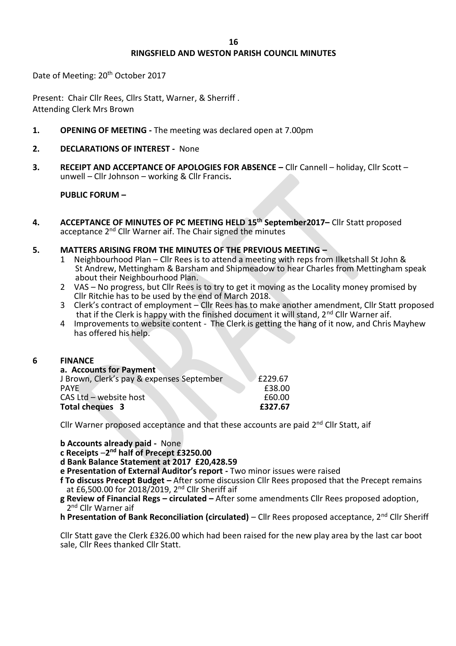# **RINGSFIELD AND WESTON PARISH COUNCIL MINUTES**

Date of Meeting: 20th October 2017

Present: Chair Cllr Rees, Cllrs Statt, Warner, & Sherriff . Attending Clerk Mrs Brown

- **1. OPENING OF MEETING -** The meeting was declared open at 7.00pm
- **2. DECLARATIONS OF INTEREST** None
- **3. RECEIPT AND ACCEPTANCE OF APOLOGIES FOR ABSENCE –** Cllr Cannell holiday, Cllr Scott unwell – Cllr Johnson – working & Cllr Francis**.**

## **PUBLIC FORUM –**

**4. ACCEPTANCE OF MINUTES OF PC MEETING HELD 15th September2017–** Cllr Statt proposed acceptance 2nd Cllr Warner aif. The Chair signed the minutes

## **5. MATTERS ARISING FROM THE MINUTES OF THE PREVIOUS MEETING –**

- 1 Neighbourhood Plan Cllr Rees is to attend a meeting with reps from Ilketshall St John & St Andrew, Mettingham & Barsham and Shipmeadow to hear Charles from Mettingham speak about their Neighbourhood Plan.
- 2 VAS No progress, but Cllr Rees is to try to get it moving as the Locality money promised by Cllr Ritchie has to be used by the end of March 2018.
- 3 Clerk's contract of employment Cllr Rees has to make another amendment, Cllr Statt proposed that if the Clerk is happy with the finished document it will stand,  $2^{nd}$  Cllr Warner aif.
- 4 Improvements to website content The Clerk is getting the hang of it now, and Chris Mayhew has offered his help.

### **6 FINANCE**

| a. Accounts for Payment                   |         |
|-------------------------------------------|---------|
| J Brown, Clerk's pay & expenses September | £229.67 |
| <b>PAYE</b>                               | £38.00  |
| CAS Ltd - website host                    | £60.00  |
| Total cheques 3                           | £327.67 |

Cllr Warner proposed acceptance and that these accounts are paid 2<sup>nd</sup> Cllr Statt, aif

**b Accounts already paid -** None

**c Receipts** –**2 nd half of Precept £3250.00**

**d Bank Balance Statement at 2017 £20,428.59**

**e Presentation of External Auditor's report -** Two minor issues were raised

**f To discuss Precept Budget –** After some discussion Cllr Rees proposed that the Precept remains at £6,500.00 for 2018/2019, 2nd Cllr Sheriff aif

- **g Review of Financial Regs – circulated –** After some amendments Cllr Rees proposed adoption, 2<sup>nd</sup> Cllr Warner aif
- **h Presentation of Bank Reconciliation (circulated)** Cllr Rees proposed acceptance, 2<sup>nd</sup> Cllr Sheriff

Cllr Statt gave the Clerk £326.00 which had been raised for the new play area by the last car boot sale, Cllr Rees thanked Cllr Statt.